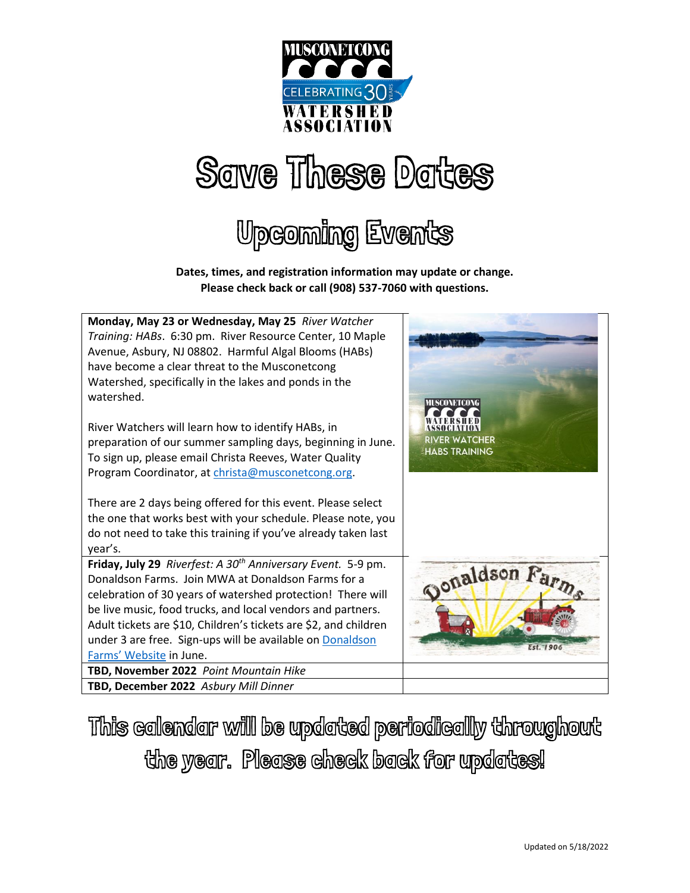



## Upcoming Events

**Dates, times, and registration information may update or change. Please check back or call (908) 537-7060 with questions.**



This calendar will be updated periodically throughout the year. Please check back for updates!